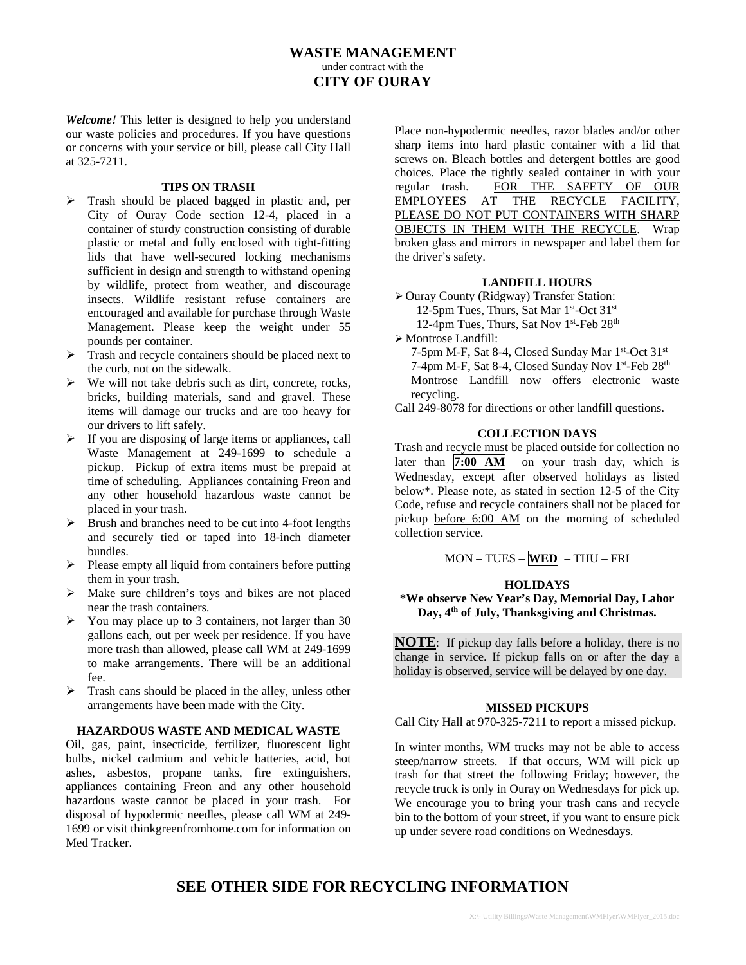## **WASTE MANAGEMENT**  under contract with the **CITY OF OURAY**

*Welcome!* This letter is designed to help you understand our waste policies and procedures. If you have questions or concerns with your service or bill, please call City Hall at 325-7211.

### **TIPS ON TRASH**

- $\triangleright$  Trash should be placed bagged in plastic and, per City of Ouray Code section 12-4, placed in a container of sturdy construction consisting of durable plastic or metal and fully enclosed with tight-fitting lids that have well-secured locking mechanisms sufficient in design and strength to withstand opening by wildlife, protect from weather, and discourage insects. Wildlife resistant refuse containers are encouraged and available for purchase through Waste Management. Please keep the weight under 55 pounds per container.
- $\triangleright$  Trash and recycle containers should be placed next to the curb, not on the sidewalk.
- $\triangleright$  We will not take debris such as dirt, concrete, rocks, bricks, building materials, sand and gravel. These items will damage our trucks and are too heavy for our drivers to lift safely.
- $\triangleright$  If you are disposing of large items or appliances, call Waste Management at 249-1699 to schedule a pickup. Pickup of extra items must be prepaid at time of scheduling. Appliances containing Freon and any other household hazardous waste cannot be placed in your trash.
- $\triangleright$  Brush and branches need to be cut into 4-foot lengths and securely tied or taped into 18-inch diameter bundles.
- $\triangleright$  Please empty all liquid from containers before putting them in your trash.
- $\triangleright$  Make sure children's toys and bikes are not placed near the trash containers.
- $\triangleright$  You may place up to 3 containers, not larger than 30 gallons each, out per week per residence. If you have more trash than allowed, please call WM at 249-1699 to make arrangements. There will be an additional fee.
- $\triangleright$  Trash cans should be placed in the alley, unless other arrangements have been made with the City.

#### **HAZARDOUS WASTE AND MEDICAL WASTE**

Oil, gas, paint, insecticide, fertilizer, fluorescent light bulbs, nickel cadmium and vehicle batteries, acid, hot ashes, asbestos, propane tanks, fire extinguishers, appliances containing Freon and any other household hazardous waste cannot be placed in your trash. For disposal of hypodermic needles, please call WM at 249- 1699 or visit thinkgreenfromhome.com for information on Med Tracker.

Place non-hypodermic needles, razor blades and/or other sharp items into hard plastic container with a lid that screws on. Bleach bottles and detergent bottles are good choices. Place the tightly sealed container in with your regular trash. FOR THE SAFETY OF OUR EMPLOYEES AT THE RECYCLE FACILITY, PLEASE DO NOT PUT CONTAINERS WITH SHARP OBJECTS IN THEM WITH THE RECYCLE. Wrap broken glass and mirrors in newspaper and label them for the driver's safety.

### **LANDFILL HOURS**

 Ouray County (Ridgway) Transfer Station: 12-5pm Tues, Thurs, Sat Mar 1st-Oct 31st 12-4pm Tues, Thurs, Sat Nov 1<sup>st</sup>-Feb 28<sup>th</sup>

Montrose Landfill:

7-5pm M-F, Sat 8-4, Closed Sunday Mar 1<sup>st</sup>-Oct 31<sup>st</sup> 7-4pm M-F, Sat 8-4, Closed Sunday Nov 1<sup>st</sup>-Feb 28<sup>th</sup> Montrose Landfill now offers electronic waste recycling.

Call 249-8078 for directions or other landfill questions.

### **COLLECTION DAYS**

Trash and recycle must be placed outside for collection no later than **7:00 AM** on your trash day, which is Wednesday, except after observed holidays as listed below\*. Please note, as stated in section 12-5 of the City Code, refuse and recycle containers shall not be placed for pickup before 6:00 AM on the morning of scheduled collection service.

## MON – TUES – **WED** – THU – FRI

### **HOLIDAYS**

### **\*We observe New Year's Day, Memorial Day, Labor Day, 4th of July, Thanksgiving and Christmas.**

**NOTE**: If pickup day falls before a holiday, there is no change in service. If pickup falls on or after the day a holiday is observed, service will be delayed by one day.

#### **MISSED PICKUPS**

Call City Hall at 970-325-7211 to report a missed pickup.

In winter months, WM trucks may not be able to access steep/narrow streets. If that occurs, WM will pick up trash for that street the following Friday; however, the recycle truck is only in Ouray on Wednesdays for pick up. We encourage you to bring your trash cans and recycle bin to the bottom of your street, if you want to ensure pick up under severe road conditions on Wednesdays.

# **SEE OTHER SIDE FOR RECYCLING INFORMATION**